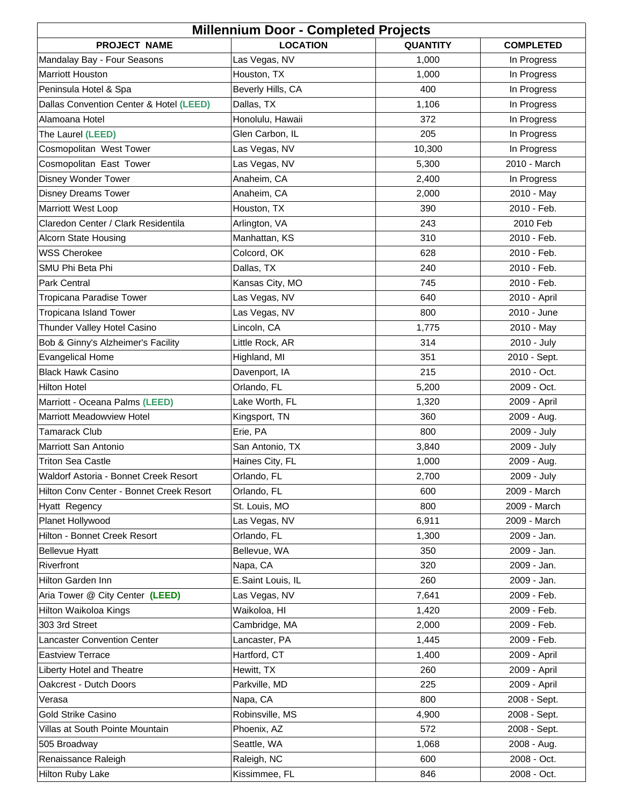| <b>Millennium Door - Completed Projects</b>                       |                              |                 |                            |
|-------------------------------------------------------------------|------------------------------|-----------------|----------------------------|
| <b>PROJECT NAME</b>                                               | <b>LOCATION</b>              | <b>QUANTITY</b> | <b>COMPLETED</b>           |
| Mandalay Bay - Four Seasons                                       | Las Vegas, NV                | 1,000           | In Progress                |
| <b>Marriott Houston</b>                                           | Houston, TX                  | 1,000           | In Progress                |
| Peninsula Hotel & Spa                                             | Beverly Hills, CA            | 400             | In Progress                |
| Dallas Convention Center & Hotel (LEED)                           | Dallas, TX                   | 1,106           | In Progress                |
| Alamoana Hotel                                                    | Honolulu, Hawaii             | 372             | In Progress                |
| The Laurel (LEED)                                                 | Glen Carbon, IL              | 205             | In Progress                |
| Cosmopolitan West Tower                                           | Las Vegas, NV                | 10,300          | In Progress                |
| Cosmopolitan East Tower                                           | Las Vegas, NV                | 5,300           | 2010 - March               |
| Disney Wonder Tower                                               | Anaheim, CA                  | 2,400           | In Progress                |
| <b>Disney Dreams Tower</b>                                        | Anaheim, CA                  | 2,000           | 2010 - May                 |
| <b>Marriott West Loop</b>                                         | Houston, TX                  | 390             | 2010 - Feb.                |
| Claredon Center / Clark Residentila                               | Arlington, VA                | 243             | 2010 Feb                   |
| Alcorn State Housing                                              | Manhattan, KS                | 310             | 2010 - Feb.                |
| <b>WSS Cherokee</b>                                               | Colcord, OK                  | 628             | 2010 - Feb.                |
| SMU Phi Beta Phi                                                  | Dallas, TX                   | 240             | 2010 - Feb.                |
| Park Central                                                      | Kansas City, MO              | 745             | 2010 - Feb.                |
| Tropicana Paradise Tower                                          | Las Vegas, NV                | 640             | 2010 - April               |
| <b>Tropicana Island Tower</b>                                     | Las Vegas, NV                | 800             | 2010 - June                |
| Thunder Valley Hotel Casino                                       | Lincoln, CA                  | 1,775           | 2010 - May                 |
| Bob & Ginny's Alzheimer's Facility                                | Little Rock, AR              | 314             | 2010 - July                |
| <b>Evangelical Home</b>                                           | Highland, MI                 | 351             | 2010 - Sept.               |
| <b>Black Hawk Casino</b>                                          |                              | 215             | 2010 - Oct.                |
| <b>Hilton Hotel</b>                                               | Davenport, IA<br>Orlando, FL |                 | 2009 - Oct.                |
|                                                                   |                              | 5,200           |                            |
| Marriott - Oceana Palms (LEED)<br>Marriott Meadowview Hotel       | Lake Worth, FL               | 1,320<br>360    | 2009 - April               |
|                                                                   | Kingsport, TN                | 800             | 2009 - Aug.                |
| <b>Tamarack Club</b><br>Marriott San Antonio                      | Erie, PA<br>San Antonio, TX  |                 | 2009 - July<br>2009 - July |
|                                                                   | Haines City, FL              | 3,840           |                            |
| <b>Triton Sea Castle</b><br>Waldorf Astoria - Bonnet Creek Resort |                              | 1,000           | 2009 - Aug.                |
|                                                                   | Orlando, FL                  | 2,700           | 2009 - July                |
| Hilton Conv Center - Bonnet Creek Resort                          | Orlando, FL                  | 600             | 2009 - March               |
| Hyatt Regency                                                     | St. Louis, MO                | 800             | 2009 - March               |
| Planet Hollywood                                                  | Las Vegas, NV                | 6,911           | 2009 - March               |
| Hilton - Bonnet Creek Resort                                      | Orlando, FL                  | 1,300           | 2009 - Jan.                |
| <b>Bellevue Hyatt</b>                                             | Bellevue, WA                 | 350             | 2009 - Jan.                |
| Riverfront                                                        | Napa, CA                     | 320             | 2009 - Jan.                |
| Hilton Garden Inn                                                 | E.Saint Louis, IL            | 260             | 2009 - Jan.                |
| Aria Tower @ City Center (LEED)                                   | Las Vegas, NV                | 7,641           | 2009 - Feb.                |
| Hilton Waikoloa Kings                                             | Waikoloa, HI                 | 1,420           | 2009 - Feb.                |
| 303 3rd Street                                                    | Cambridge, MA                | 2,000           | 2009 - Feb.                |
| Lancaster Convention Center                                       | Lancaster, PA                | 1,445           | 2009 - Feb.                |
| <b>Eastview Terrace</b>                                           | Hartford, CT                 | 1,400           | 2009 - April               |
| Liberty Hotel and Theatre                                         | Hewitt, TX                   | 260             | 2009 - April               |
| Oakcrest - Dutch Doors                                            | Parkville, MD                | 225             | 2009 - April               |
| Verasa                                                            | Napa, CA                     | 800             | 2008 - Sept.               |
| Gold Strike Casino                                                | Robinsville, MS              | 4,900           | 2008 - Sept.               |
| Villas at South Pointe Mountain                                   | Phoenix, AZ                  | 572             | 2008 - Sept.               |
| 505 Broadway                                                      | Seattle, WA                  | 1,068           | 2008 - Aug.                |
| Renaissance Raleigh                                               | Raleigh, NC                  | 600             | 2008 - Oct.                |
| Hilton Ruby Lake                                                  | Kissimmee, FL                | 846             | 2008 - Oct.                |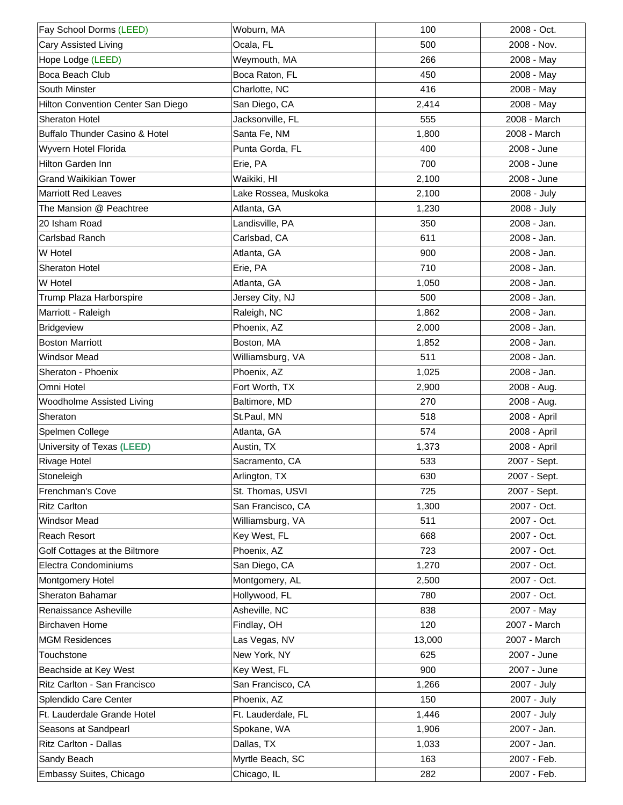| Fay School Dorms (LEED)            | Woburn, MA           | 100    | 2008 - Oct.  |
|------------------------------------|----------------------|--------|--------------|
| Cary Assisted Living               | Ocala, FL            | 500    | 2008 - Nov.  |
| Hope Lodge (LEED)                  | Weymouth, MA         | 266    | 2008 - May   |
| Boca Beach Club                    | Boca Raton, FL       | 450    | 2008 - May   |
| South Minster                      | Charlotte, NC        | 416    | 2008 - May   |
| Hilton Convention Center San Diego | San Diego, CA        | 2,414  | 2008 - May   |
| Sheraton Hotel                     | Jacksonville, FL     | 555    | 2008 - March |
| Buffalo Thunder Casino & Hotel     | Santa Fe, NM         | 1,800  | 2008 - March |
| Wyvern Hotel Florida               | Punta Gorda, FL      | 400    | 2008 - June  |
| Hilton Garden Inn                  | Erie, PA             | 700    | 2008 - June  |
| <b>Grand Waikikian Tower</b>       | Waikiki, HI          | 2,100  | 2008 - June  |
| <b>Marriott Red Leaves</b>         | Lake Rossea, Muskoka | 2,100  | 2008 - July  |
| The Mansion @ Peachtree            | Atlanta, GA          | 1,230  | 2008 - July  |
| 20 Isham Road                      | Landisville, PA      | 350    | 2008 - Jan.  |
| Carlsbad Ranch                     | Carlsbad, CA         | 611    | 2008 - Jan.  |
| W Hotel                            | Atlanta, GA          | 900    | 2008 - Jan.  |
| Sheraton Hotel                     | Erie, PA             | 710    | 2008 - Jan.  |
| W Hotel                            | Atlanta, GA          | 1,050  | 2008 - Jan.  |
| Trump Plaza Harborspire            | Jersey City, NJ      | 500    | 2008 - Jan.  |
| Marriott - Raleigh                 | Raleigh, NC          | 1,862  | 2008 - Jan.  |
| <b>Bridgeview</b>                  | Phoenix, AZ          | 2,000  | 2008 - Jan.  |
| <b>Boston Marriott</b>             | Boston, MA           | 1,852  | 2008 - Jan.  |
| <b>Windsor Mead</b>                | Williamsburg, VA     | 511    | 2008 - Jan.  |
| Sheraton - Phoenix                 | Phoenix, AZ          | 1,025  | 2008 - Jan.  |
| Omni Hotel                         | Fort Worth, TX       | 2,900  | 2008 - Aug.  |
| Woodholme Assisted Living          | Baltimore, MD        | 270    | 2008 - Aug.  |
| Sheraton                           | St.Paul, MN          | 518    | 2008 - April |
| Spelmen College                    | Atlanta, GA          | 574    | 2008 - April |
| University of Texas (LEED)         | Austin, TX           | 1,373  | 2008 - April |
| <b>Rivage Hotel</b>                | Sacramento, CA       | 533    | 2007 - Sept. |
| Stoneleigh                         | Arlington, TX        | 630    | 2007 - Sept. |
| Frenchman's Cove                   | St. Thomas, USVI     | 725    | 2007 - Sept. |
| <b>Ritz Carlton</b>                | San Francisco, CA    | 1,300  | 2007 - Oct.  |
| Windsor Mead                       | Williamsburg, VA     | 511    | 2007 - Oct.  |
| <b>Reach Resort</b>                | Key West, FL         | 668    | 2007 - Oct.  |
| Golf Cottages at the Biltmore      | Phoenix, AZ          | 723    | 2007 - Oct.  |
| Electra Condominiums               | San Diego, CA        | 1,270  | 2007 - Oct.  |
| Montgomery Hotel                   | Montgomery, AL       | 2,500  | 2007 - Oct.  |
| Sheraton Bahamar                   | Hollywood, FL        | 780    | 2007 - Oct.  |
| Renaissance Asheville              | Asheville, NC        | 838    | 2007 - May   |
| <b>Birchaven Home</b>              | Findlay, OH          | 120    | 2007 - March |
| <b>MGM Residences</b>              | Las Vegas, NV        | 13,000 | 2007 - March |
| Touchstone                         | New York, NY         | 625    | 2007 - June  |
| Beachside at Key West              | Key West, FL         | 900    | 2007 - June  |
| Ritz Carlton - San Francisco       | San Francisco, CA    | 1,266  | 2007 - July  |
| Splendido Care Center              | Phoenix, AZ          | 150    | 2007 - July  |
| Ft. Lauderdale Grande Hotel        | Ft. Lauderdale, FL   | 1,446  | 2007 - July  |
| Seasons at Sandpearl               | Spokane, WA          | 1,906  | 2007 - Jan.  |
| Ritz Carlton - Dallas              | Dallas, TX           | 1,033  | 2007 - Jan.  |
| Sandy Beach                        | Myrtle Beach, SC     | 163    | 2007 - Feb.  |
| Embassy Suites, Chicago            | Chicago, IL          | 282    | 2007 - Feb.  |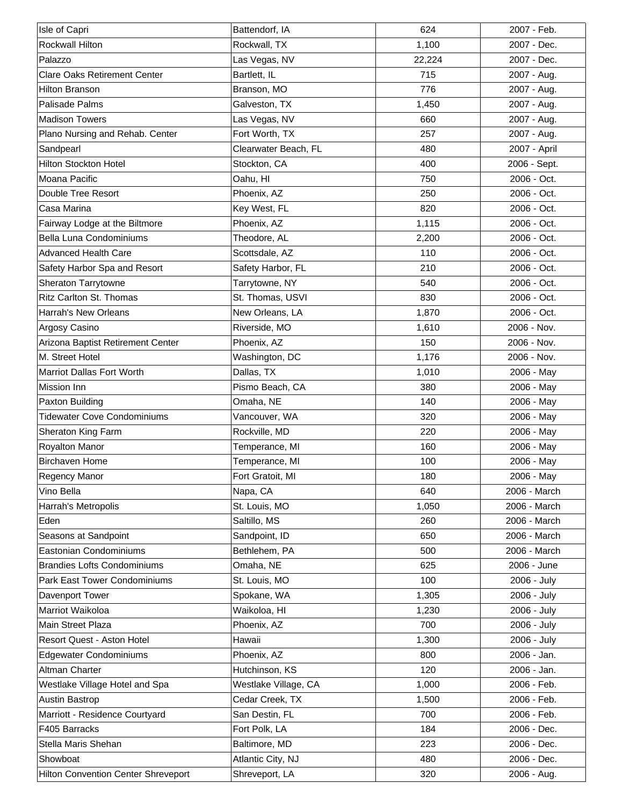| Isle of Capri                       | Battendorf, IA       | 624    | 2007 - Feb.  |
|-------------------------------------|----------------------|--------|--------------|
| Rockwall Hilton                     | Rockwall, TX         | 1,100  | 2007 - Dec.  |
| Palazzo                             | Las Vegas, NV        | 22,224 | 2007 - Dec.  |
| <b>Clare Oaks Retirement Center</b> | Bartlett, IL         | 715    | 2007 - Aug.  |
| <b>Hilton Branson</b>               | Branson, MO          | 776    | 2007 - Aug.  |
| <b>Palisade Palms</b>               | Galveston, TX        | 1,450  | 2007 - Aug.  |
| <b>Madison Towers</b>               | Las Vegas, NV        | 660    | 2007 - Aug.  |
| Plano Nursing and Rehab. Center     | Fort Worth, TX       | 257    | 2007 - Aug.  |
| Sandpearl                           | Clearwater Beach, FL | 480    | 2007 - April |
| Hilton Stockton Hotel               | Stockton, CA         | 400    | 2006 - Sept. |
| Moana Pacific                       | Oahu, HI             | 750    | 2006 - Oct.  |
| Double Tree Resort                  | Phoenix, AZ          | 250    | 2006 - Oct.  |
| Casa Marina                         | Key West, FL         | 820    | 2006 - Oct.  |
| Fairway Lodge at the Biltmore       | Phoenix, AZ          | 1,115  | 2006 - Oct.  |
| Bella Luna Condominiums             | Theodore, AL         | 2,200  | 2006 - Oct.  |
| <b>Advanced Health Care</b>         | Scottsdale, AZ       | 110    | 2006 - Oct.  |
| Safety Harbor Spa and Resort        | Safety Harbor, FL    | 210    | 2006 - Oct.  |
| Sheraton Tarrytowne                 | Tarrytowne, NY       | 540    | 2006 - Oct.  |
| Ritz Carlton St. Thomas             | St. Thomas, USVI     | 830    | 2006 - Oct.  |
| Harrah's New Orleans                | New Orleans, LA      | 1,870  | 2006 - Oct.  |
| Argosy Casino                       | Riverside, MO        | 1,610  | 2006 - Nov.  |
| Arizona Baptist Retirement Center   | Phoenix, AZ          | 150    | 2006 - Nov.  |
| M. Street Hotel                     | Washington, DC       | 1,176  | 2006 - Nov.  |
| Marriot Dallas Fort Worth           | Dallas, TX           | 1,010  | 2006 - May   |
| Mission Inn                         | Pismo Beach, CA      | 380    | 2006 - May   |
| Paxton Building                     | Omaha, NE            | 140    | 2006 - May   |
| <b>Tidewater Cove Condominiums</b>  | Vancouver, WA        | 320    | 2006 - May   |
| Sheraton King Farm                  | Rockville, MD        | 220    | 2006 - May   |
| Royalton Manor                      | Temperance, MI       | 160    | 2006 - May   |
| <b>Birchaven Home</b>               | Temperance, MI       | 100    | 2006 - May   |
|                                     |                      |        |              |
| Regency Manor                       | Fort Gratoit, MI     | 180    | 2006 - May   |
| Vino Bella                          | Napa, CA             | 640    | 2006 - March |
| Harrah's Metropolis                 | St. Louis, MO        | 1,050  | 2006 - March |
| Eden                                | Saltillo, MS         | 260    | 2006 - March |
| Seasons at Sandpoint                | Sandpoint, ID        | 650    | 2006 - March |
| Eastonian Condominiums              | Bethlehem, PA        | 500    | 2006 - March |
| <b>Brandies Lofts Condominiums</b>  | Omaha, NE            | 625    | 2006 - June  |
| Park East Tower Condominiums        | St. Louis, MO        | 100    | 2006 - July  |
| Davenport Tower                     | Spokane, WA          | 1,305  | 2006 - July  |
| Marriot Waikoloa                    | Waikoloa, HI         | 1,230  | 2006 - July  |
| Main Street Plaza                   | Phoenix, AZ          | 700    | 2006 - July  |
| Resort Quest - Aston Hotel          | Hawaii               | 1,300  | 2006 - July  |
| <b>Edgewater Condominiums</b>       | Phoenix, AZ          | 800    | 2006 - Jan.  |
| Altman Charter                      | Hutchinson, KS       | 120    | 2006 - Jan.  |
| Westlake Village Hotel and Spa      | Westlake Village, CA | 1,000  | 2006 - Feb.  |
| <b>Austin Bastrop</b>               | Cedar Creek, TX      | 1,500  | 2006 - Feb.  |
| Marriott - Residence Courtyard      | San Destin, FL       | 700    | 2006 - Feb.  |
| F405 Barracks                       | Fort Polk, LA        | 184    | 2006 - Dec.  |
| Stella Maris Shehan                 | Baltimore, MD        | 223    | 2006 - Dec.  |
| Showboat                            | Atlantic City, NJ    | 480    | 2006 - Dec.  |
| Hilton Convention Center Shreveport | Shreveport, LA       | 320    | 2006 - Aug.  |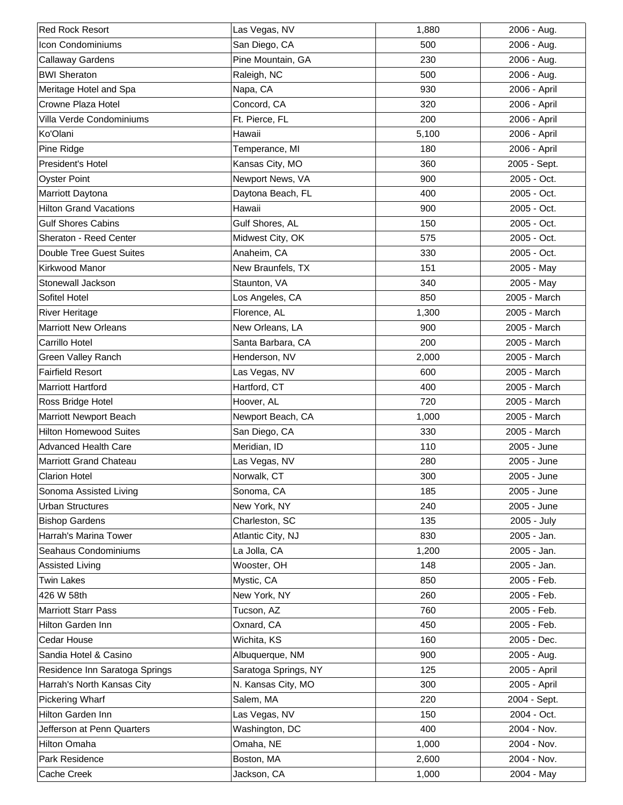| <b>Red Rock Resort</b>         | Las Vegas, NV        | 1,880 | 2006 - Aug.  |
|--------------------------------|----------------------|-------|--------------|
| <b>Icon Condominiums</b>       | San Diego, CA        | 500   | 2006 - Aug.  |
| Callaway Gardens               | Pine Mountain, GA    | 230   | 2006 - Aug.  |
| <b>BWI Sheraton</b>            | Raleigh, NC          | 500   | 2006 - Aug.  |
| Meritage Hotel and Spa         | Napa, CA             | 930   | 2006 - April |
| Crowne Plaza Hotel             | Concord, CA          | 320   | 2006 - April |
| Villa Verde Condominiums       | Ft. Pierce, FL       | 200   | 2006 - April |
| Ko'Olani                       | Hawaii               | 5,100 | 2006 - April |
| Pine Ridge                     | Temperance, MI       | 180   | 2006 - April |
| President's Hotel              | Kansas City, MO      | 360   | 2005 - Sept. |
| <b>Oyster Point</b>            | Newport News, VA     | 900   | 2005 - Oct.  |
| Marriott Daytona               | Daytona Beach, FL    | 400   | 2005 - Oct.  |
| <b>Hilton Grand Vacations</b>  | Hawaii               | 900   | 2005 - Oct.  |
| <b>Gulf Shores Cabins</b>      | Gulf Shores, AL      | 150   | 2005 - Oct.  |
| Sheraton - Reed Center         | Midwest City, OK     | 575   | 2005 - Oct.  |
| Double Tree Guest Suites       | Anaheim, CA          | 330   | 2005 - Oct.  |
| Kirkwood Manor                 | New Braunfels, TX    | 151   | 2005 - May   |
| Stonewall Jackson              | Staunton, VA         | 340   | 2005 - May   |
| Sofitel Hotel                  | Los Angeles, CA      | 850   | 2005 - March |
| <b>River Heritage</b>          | Florence, AL         | 1,300 | 2005 - March |
| <b>Marriott New Orleans</b>    | New Orleans, LA      | 900   | 2005 - March |
| Carrillo Hotel                 | Santa Barbara, CA    | 200   | 2005 - March |
| Green Valley Ranch             | Henderson, NV        | 2,000 | 2005 - March |
| <b>Fairfield Resort</b>        | Las Vegas, NV        | 600   | 2005 - March |
| <b>Marriott Hartford</b>       | Hartford, CT         | 400   | 2005 - March |
| Ross Bridge Hotel              | Hoover, AL           | 720   | 2005 - March |
| Marriott Newport Beach         | Newport Beach, CA    | 1,000 | 2005 - March |
| <b>Hilton Homewood Suites</b>  | San Diego, CA        | 330   | 2005 - March |
| <b>Advanced Health Care</b>    | Meridian, ID         | 110   | 2005 - June  |
| <b>Marriott Grand Chateau</b>  | Las Vegas, NV        | 280   | 2005 - June  |
| <b>Clarion Hotel</b>           | Norwalk, CT          | 300   | 2005 - June  |
| Sonoma Assisted Living         | Sonoma, CA           | 185   | 2005 - June  |
| Urban Structures               | New York, NY         | 240   | 2005 - June  |
| <b>Bishop Gardens</b>          | Charleston, SC       | 135   | 2005 - July  |
| Harrah's Marina Tower          | Atlantic City, NJ    | 830   | 2005 - Jan.  |
| Seahaus Condominiums           | La Jolla, CA         | 1,200 | 2005 - Jan.  |
| <b>Assisted Living</b>         | Wooster, OH          | 148   | 2005 - Jan.  |
| <b>Twin Lakes</b>              | Mystic, CA           | 850   | 2005 - Feb.  |
| 426 W 58th                     | New York, NY         | 260   | 2005 - Feb.  |
| <b>Marriott Starr Pass</b>     | Tucson, AZ           | 760   | 2005 - Feb.  |
| Hilton Garden Inn              | Oxnard, CA           | 450   | 2005 - Feb.  |
| Cedar House                    | Wichita, KS          | 160   | 2005 - Dec.  |
| Sandia Hotel & Casino          | Albuquerque, NM      | 900   | 2005 - Aug.  |
| Residence Inn Saratoga Springs | Saratoga Springs, NY | 125   | 2005 - April |
| Harrah's North Kansas City     | N. Kansas City, MO   | 300   | 2005 - April |
| Pickering Wharf                | Salem, MA            | 220   | 2004 - Sept. |
| Hilton Garden Inn              | Las Vegas, NV        | 150   | 2004 - Oct.  |
| Jefferson at Penn Quarters     | Washington, DC       | 400   | 2004 - Nov.  |
| Hilton Omaha                   | Omaha, NE            | 1,000 | 2004 - Nov.  |
| Park Residence                 | Boston, MA           | 2,600 | 2004 - Nov.  |
| Cache Creek                    | Jackson, CA          | 1,000 | 2004 - May   |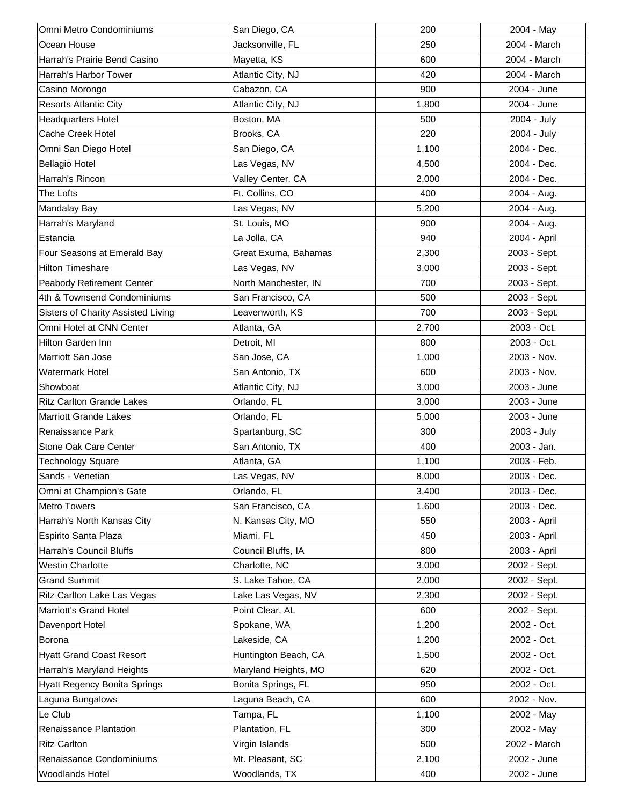| Omni Metro Condominiums             | San Diego, CA        | 200   | 2004 - May   |
|-------------------------------------|----------------------|-------|--------------|
| Ocean House                         | Jacksonville, FL     | 250   | 2004 - March |
| Harrah's Prairie Bend Casino        | Mayetta, KS          | 600   | 2004 - March |
| Harrah's Harbor Tower               | Atlantic City, NJ    | 420   | 2004 - March |
| Casino Morongo                      | Cabazon, CA          | 900   | 2004 - June  |
| <b>Resorts Atlantic City</b>        | Atlantic City, NJ    | 1,800 | 2004 - June  |
| <b>Headquarters Hotel</b>           | Boston, MA           | 500   | 2004 - July  |
| Cache Creek Hotel                   | Brooks, CA           | 220   | 2004 - July  |
| Omni San Diego Hotel                | San Diego, CA        | 1,100 | 2004 - Dec.  |
| <b>Bellagio Hotel</b>               | Las Vegas, NV        | 4,500 | 2004 - Dec.  |
| Harrah's Rincon                     | Valley Center. CA    | 2,000 | 2004 - Dec.  |
| The Lofts                           | Ft. Collins, CO      | 400   | 2004 - Aug.  |
| Mandalay Bay                        | Las Vegas, NV        | 5,200 | 2004 - Aug.  |
| Harrah's Maryland                   | St. Louis, MO        | 900   | 2004 - Aug.  |
| Estancia                            | La Jolla, CA         | 940   | 2004 - April |
| Four Seasons at Emerald Bay         | Great Exuma, Bahamas | 2,300 | 2003 - Sept. |
| <b>Hilton Timeshare</b>             | Las Vegas, NV        | 3,000 | 2003 - Sept. |
| Peabody Retirement Center           | North Manchester, IN | 700   | 2003 - Sept. |
| 4th & Townsend Condominiums         | San Francisco, CA    | 500   | 2003 - Sept. |
| Sisters of Charity Assisted Living  | Leavenworth, KS      | 700   | 2003 - Sept. |
| Omni Hotel at CNN Center            | Atlanta, GA          | 2,700 | 2003 - Oct.  |
| Hilton Garden Inn                   | Detroit, MI          | 800   | 2003 - Oct.  |
| Marriott San Jose                   | San Jose, CA         | 1,000 | 2003 - Nov.  |
| Watermark Hotel                     | San Antonio, TX      | 600   | 2003 - Nov.  |
| Showboat                            | Atlantic City, NJ    | 3,000 | 2003 - June  |
| <b>Ritz Carlton Grande Lakes</b>    | Orlando, FL          | 3,000 | 2003 - June  |
| <b>Marriott Grande Lakes</b>        | Orlando, FL          | 5,000 | 2003 - June  |
| Renaissance Park                    | Spartanburg, SC      | 300   | 2003 - July  |
| Stone Oak Care Center               | San Antonio, TX      | 400   | 2003 - Jan.  |
| <b>Technology Square</b>            | Atlanta, GA          | 1,100 | 2003 - Feb.  |
| Sands - Venetian                    | Las Vegas, NV        | 8,000 | 2003 - Dec.  |
| Omni at Champion's Gate             | Orlando, FL          | 3,400 | 2003 - Dec.  |
| <b>Metro Towers</b>                 | San Francisco, CA    | 1,600 | 2003 - Dec.  |
| Harrah's North Kansas City          | N. Kansas City, MO   | 550   | 2003 - April |
| Espirito Santa Plaza                | Miami, FL            | 450   | 2003 - April |
| Harrah's Council Bluffs             | Council Bluffs, IA   | 800   | 2003 - April |
| <b>Westin Charlotte</b>             | Charlotte, NC        | 3,000 | 2002 - Sept. |
| <b>Grand Summit</b>                 | S. Lake Tahoe, CA    | 2,000 | 2002 - Sept. |
| Ritz Carlton Lake Las Vegas         | Lake Las Vegas, NV   | 2,300 | 2002 - Sept. |
| Marriott's Grand Hotel              | Point Clear, AL      | 600   | 2002 - Sept. |
| Davenport Hotel                     | Spokane, WA          | 1,200 | 2002 - Oct.  |
| Borona                              | Lakeside, CA         | 1,200 | 2002 - Oct.  |
| <b>Hyatt Grand Coast Resort</b>     | Huntington Beach, CA | 1,500 | 2002 - Oct.  |
| Harrah's Maryland Heights           | Maryland Heights, MO | 620   | 2002 - Oct.  |
| <b>Hyatt Regency Bonita Springs</b> | Bonita Springs, FL   | 950   | 2002 - Oct.  |
| Laguna Bungalows                    | Laguna Beach, CA     | 600   | 2002 - Nov.  |
| Le Club                             | Tampa, FL            | 1,100 | 2002 - May   |
| Renaissance Plantation              | Plantation, FL       | 300   | 2002 - May   |
| <b>Ritz Carlton</b>                 | Virgin Islands       | 500   | 2002 - March |
| Renaissance Condominiums            | Mt. Pleasant, SC     | 2,100 | 2002 - June  |
| Woodlands Hotel                     | Woodlands, TX        | 400   | 2002 - June  |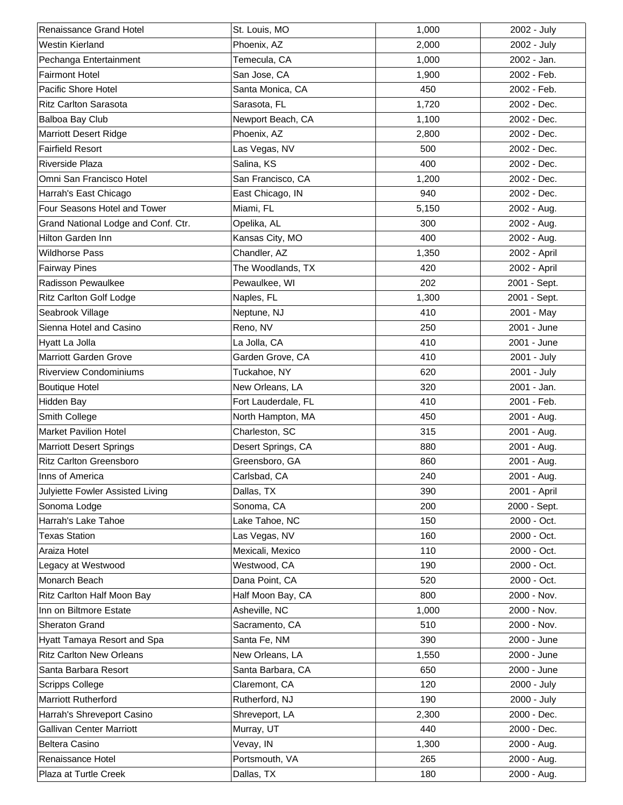| Renaissance Grand Hotel             | St. Louis, MO       | 1,000 | 2002 - July  |
|-------------------------------------|---------------------|-------|--------------|
| <b>Westin Kierland</b>              | Phoenix, AZ         | 2,000 | 2002 - July  |
| Pechanga Entertainment              | Temecula, CA        | 1,000 | 2002 - Jan.  |
| <b>Fairmont Hotel</b>               | San Jose, CA        | 1,900 | 2002 - Feb.  |
| Pacific Shore Hotel                 | Santa Monica, CA    | 450   | 2002 - Feb.  |
| <b>Ritz Carlton Sarasota</b>        | Sarasota, FL        | 1,720 | 2002 - Dec.  |
| Balboa Bay Club                     | Newport Beach, CA   | 1,100 | 2002 - Dec.  |
| <b>Marriott Desert Ridge</b>        | Phoenix, AZ         | 2,800 | 2002 - Dec.  |
| <b>Fairfield Resort</b>             | Las Vegas, NV       | 500   | 2002 - Dec.  |
| <b>Riverside Plaza</b>              | Salina, KS          | 400   | 2002 - Dec.  |
| Omni San Francisco Hotel            | San Francisco, CA   | 1,200 | 2002 - Dec.  |
| Harrah's East Chicago               | East Chicago, IN    | 940   | 2002 - Dec.  |
| Four Seasons Hotel and Tower        | Miami, FL           | 5,150 | 2002 - Aug.  |
| Grand National Lodge and Conf. Ctr. | Opelika, AL         | 300   | 2002 - Aug.  |
| Hilton Garden Inn                   | Kansas City, MO     | 400   | 2002 - Aug.  |
| <b>Wildhorse Pass</b>               | Chandler, AZ        | 1,350 | 2002 - April |
| <b>Fairway Pines</b>                | The Woodlands, TX   | 420   | 2002 - April |
| Radisson Pewaulkee                  | Pewaulkee, WI       | 202   | 2001 - Sept. |
| <b>Ritz Carlton Golf Lodge</b>      | Naples, FL          | 1,300 | 2001 - Sept. |
| Seabrook Village                    | Neptune, NJ         | 410   | 2001 - May   |
| Sienna Hotel and Casino             | Reno, NV            | 250   | 2001 - June  |
| Hyatt La Jolla                      | La Jolla, CA        | 410   | 2001 - June  |
| <b>Marriott Garden Grove</b>        | Garden Grove, CA    | 410   | 2001 - July  |
| <b>Riverview Condominiums</b>       | Tuckahoe, NY        | 620   | 2001 - July  |
| <b>Boutique Hotel</b>               | New Orleans, LA     | 320   | 2001 - Jan.  |
| <b>Hidden Bay</b>                   | Fort Lauderdale, FL | 410   | 2001 - Feb.  |
| Smith College                       | North Hampton, MA   | 450   | 2001 - Aug.  |
| <b>Market Pavilion Hotel</b>        | Charleston, SC      | 315   | 2001 - Aug.  |
| <b>Marriott Desert Springs</b>      | Desert Springs, CA  | 880   | 2001 - Aug.  |
| <b>Ritz Carlton Greensboro</b>      | Greensboro, GA      | 860   | 2001 - Aug.  |
| Inns of America                     | Carlsbad, CA        | 240   | 2001 - Aug.  |
| Julyiette Fowler Assisted Living    | Dallas, TX          | 390   | 2001 - April |
| Sonoma Lodge                        | Sonoma, CA          | 200   | 2000 - Sept. |
| Harrah's Lake Tahoe                 | Lake Tahoe, NC      | 150   | 2000 - Oct.  |
| <b>Texas Station</b>                | Las Vegas, NV       | 160   | 2000 - Oct.  |
| Araiza Hotel                        | Mexicali, Mexico    | 110   | 2000 - Oct.  |
| Legacy at Westwood                  | Westwood, CA        | 190   | 2000 - Oct.  |
| Monarch Beach                       | Dana Point, CA      | 520   | 2000 - Oct.  |
| Ritz Carlton Half Moon Bay          | Half Moon Bay, CA   | 800   | 2000 - Nov.  |
| Inn on Biltmore Estate              | Asheville, NC       | 1,000 | 2000 - Nov.  |
| Sheraton Grand                      | Sacramento, CA      | 510   | 2000 - Nov.  |
| Hyatt Tamaya Resort and Spa         | Santa Fe, NM        | 390   | 2000 - June  |
| <b>Ritz Carlton New Orleans</b>     | New Orleans, LA     | 1,550 | 2000 - June  |
| Santa Barbara Resort                | Santa Barbara, CA   | 650   | 2000 - June  |
| <b>Scripps College</b>              | Claremont, CA       | 120   | 2000 - July  |
| Marriott Rutherford                 | Rutherford, NJ      | 190   | 2000 - July  |
| Harrah's Shreveport Casino          | Shreveport, LA      | 2,300 | 2000 - Dec.  |
| <b>Gallivan Center Marriott</b>     | Murray, UT          | 440   | 2000 - Dec.  |
| Beltera Casino                      | Vevay, IN           | 1,300 | 2000 - Aug.  |
| Renaissance Hotel                   | Portsmouth, VA      | 265   | 2000 - Aug.  |
| Plaza at Turtle Creek               | Dallas, TX          | 180   | 2000 - Aug.  |